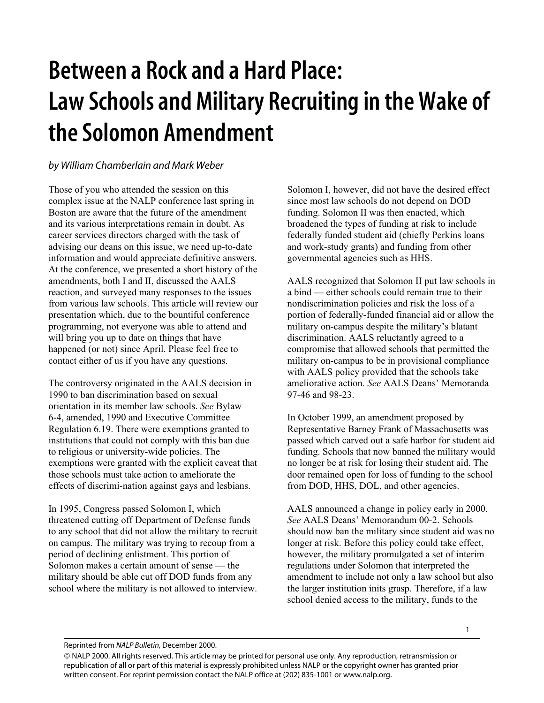## **Between a Rock and a Hard Place: Law Schools and Military Recruiting in the Wake of the Solomon Amendment**

## *by William Chamberlain and Mark Weber*

Those of you who attended the session on this complex issue at the NALP conference last spring in Boston are aware that the future of the amendment and its various interpretations remain in doubt. As career services directors charged with the task of advising our deans on this issue, we need up-to-date information and would appreciate definitive answers. At the conference, we presented a short history of the amendments, both I and II, discussed the AALS reaction, and surveyed many responses to the issues from various law schools. This article will review our presentation which, due to the bountiful conference programming, not everyone was able to attend and will bring you up to date on things that have happened (or not) since April. Please feel free to contact either of us if you have any questions.

The controversy originated in the AALS decision in 1990 to ban discrimination based on sexual orientation in its member law schools. *See* Bylaw 6-4, amended, 1990 and Executive Committee Regulation 6.19. There were exemptions granted to institutions that could not comply with this ban due to religious or university-wide policies. The exemptions were granted with the explicit caveat that those schools must take action to ameliorate the effects of discrimi-nation against gays and lesbians.

In 1995, Congress passed Solomon I, which threatened cutting off Department of Defense funds to any school that did not allow the military to recruit on campus. The military was trying to recoup from a period of declining enlistment. This portion of Solomon makes a certain amount of sense — the military should be able cut off DOD funds from any school where the military is not allowed to interview.

Solomon I, however, did not have the desired effect since most law schools do not depend on DOD funding. Solomon II was then enacted, which broadened the types of funding at risk to include federally funded student aid (chiefly Perkins loans and work-study grants) and funding from other governmental agencies such as HHS.

AALS recognized that Solomon II put law schools in a bind — either schools could remain true to their nondiscrimination policies and risk the loss of a portion of federally-funded financial aid or allow the military on-campus despite the military's blatant discrimination. AALS reluctantly agreed to a compromise that allowed schools that permitted the military on-campus to be in provisional compliance with AALS policy provided that the schools take ameliorative action. *See* AALS Deans' Memoranda 97-46 and 98-23.

In October 1999, an amendment proposed by Representative Barney Frank of Massachusetts was passed which carved out a safe harbor for student aid funding. Schools that now banned the military would no longer be at risk for losing their student aid. The door remained open for loss of funding to the school from DOD, HHS, DOL, and other agencies.

AALS announced a change in policy early in 2000. *See* AALS Deans' Memorandum 00-2. Schools should now ban the military since student aid was no longer at risk. Before this policy could take effect, however, the military promulgated a set of interim regulations under Solomon that interpreted the amendment to include not only a law school but also the larger institution inits grasp. Therefore, if a law school denied access to the military, funds to the

Reprinted from *NALP Bulletin,* December 2000.

 NALP 2000. All rights reserved. This article may be printed for personal use only. Any reproduction, retransmission or republication of all or part of this material is expressly prohibited unless NALP or the copyright owner has granted prior written consent. For reprint permission contact the NALP office at (202) 835-1001 or www.nalp.org.